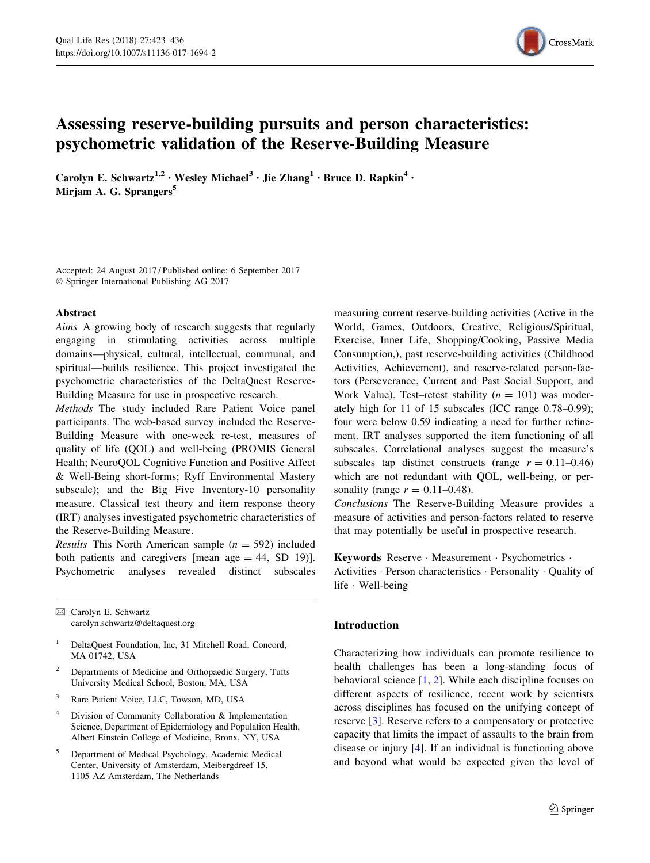

# Assessing reserve-building pursuits and person characteristics: psychometric validation of the Reserve-Building Measure

Carolyn E. Schwartz<sup>1,2</sup> · Wesley Michael<sup>3</sup> · Jie Zhang<sup>1</sup> · Bruce D. Rapkin<sup>4</sup> · Mirjam A. G. Sprangers<sup>5</sup>

Accepted: 24 August 2017 / Published online: 6 September 2017 - Springer International Publishing AG 2017

### Abstract

Aims A growing body of research suggests that regularly engaging in stimulating activities across multiple domains—physical, cultural, intellectual, communal, and spiritual—builds resilience. This project investigated the psychometric characteristics of the DeltaQuest Reserve-Building Measure for use in prospective research.

Methods The study included Rare Patient Voice panel participants. The web-based survey included the Reserve-Building Measure with one-week re-test, measures of quality of life (QOL) and well-being (PROMIS General Health; NeuroQOL Cognitive Function and Positive Affect & Well-Being short-forms; Ryff Environmental Mastery subscale); and the Big Five Inventory-10 personality measure. Classical test theory and item response theory (IRT) analyses investigated psychometric characteristics of the Reserve-Building Measure.

*Results* This North American sample ( $n = 592$ ) included both patients and caregivers [mean age  $= 44$ , SD 19)]. Psychometric analyses revealed distinct subscales

 $\boxtimes$  Carolyn E. Schwartz carolyn.schwartz@deltaquest.org

- <sup>1</sup> DeltaQuest Foundation, Inc, 31 Mitchell Road, Concord, MA 01742, USA
- <sup>2</sup> Departments of Medicine and Orthopaedic Surgery, Tufts University Medical School, Boston, MA, USA
- <sup>3</sup> Rare Patient Voice, LLC, Towson, MD, USA
- <sup>4</sup> Division of Community Collaboration & Implementation Science, Department of Epidemiology and Population Health, Albert Einstein College of Medicine, Bronx, NY, USA
- <sup>5</sup> Department of Medical Psychology, Academic Medical Center, University of Amsterdam, Meibergdreef 15, 1105 AZ Amsterdam, The Netherlands

measuring current reserve-building activities (Active in the World, Games, Outdoors, Creative, Religious/Spiritual, Exercise, Inner Life, Shopping/Cooking, Passive Media Consumption,), past reserve-building activities (Childhood Activities, Achievement), and reserve-related person-factors (Perseverance, Current and Past Social Support, and Work Value). Test–retest stability ( $n = 101$ ) was moderately high for 11 of 15 subscales (ICC range 0.78–0.99); four were below 0.59 indicating a need for further refinement. IRT analyses supported the item functioning of all subscales. Correlational analyses suggest the measure's subscales tap distinct constructs (range  $r = 0.11{\text -}0.46$ ) which are not redundant with QOL, well-being, or personality (range  $r = 0.11{\text -}0.48$ ).

Conclusions The Reserve-Building Measure provides a measure of activities and person-factors related to reserve that may potentially be useful in prospective research.

Keywords Reserve · Measurement · Psychometrics · Activities - Person characteristics - Personality - Quality of life - Well-being

### Introduction

Characterizing how individuals can promote resilience to health challenges has been a long-standing focus of behavioral science [\[1,](#page-11-0) [2](#page-12-0)]. While each discipline focuses on different aspects of resilience, recent work by scientists across disciplines has focused on the unifying concept of reserve [\[3](#page-12-0)]. Reserve refers to a compensatory or protective capacity that limits the impact of assaults to the brain from disease or injury [\[4](#page-12-0)]. If an individual is functioning above and beyond what would be expected given the level of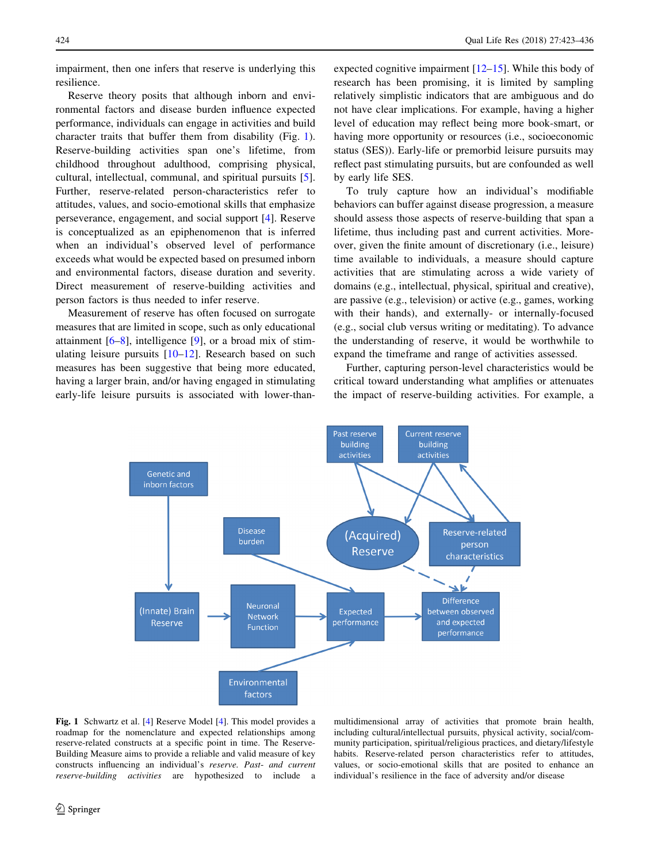<span id="page-1-0"></span>impairment, then one infers that reserve is underlying this resilience.

Reserve theory posits that although inborn and environmental factors and disease burden influence expected performance, individuals can engage in activities and build character traits that buffer them from disability (Fig. 1). Reserve-building activities span one's lifetime, from childhood throughout adulthood, comprising physical, cultural, intellectual, communal, and spiritual pursuits [\[5](#page-12-0)]. Further, reserve-related person-characteristics refer to attitudes, values, and socio-emotional skills that emphasize perseverance, engagement, and social support [\[4](#page-12-0)]. Reserve is conceptualized as an epiphenomenon that is inferred when an individual's observed level of performance exceeds what would be expected based on presumed inborn and environmental factors, disease duration and severity. Direct measurement of reserve-building activities and person factors is thus needed to infer reserve.

Measurement of reserve has often focused on surrogate measures that are limited in scope, such as only educational attainment  $[6-8]$ , intelligence  $[9]$  $[9]$ , or a broad mix of stimulating leisure pursuits  $[10-12]$ . Research based on such measures has been suggestive that being more educated, having a larger brain, and/or having engaged in stimulating early-life leisure pursuits is associated with lower-thanexpected cognitive impairment  $[12–15]$  $[12–15]$ . While this body of research has been promising, it is limited by sampling relatively simplistic indicators that are ambiguous and do not have clear implications. For example, having a higher level of education may reflect being more book-smart, or having more opportunity or resources (i.e., socioeconomic status (SES)). Early-life or premorbid leisure pursuits may reflect past stimulating pursuits, but are confounded as well by early life SES.

To truly capture how an individual's modifiable behaviors can buffer against disease progression, a measure should assess those aspects of reserve-building that span a lifetime, thus including past and current activities. Moreover, given the finite amount of discretionary (i.e., leisure) time available to individuals, a measure should capture activities that are stimulating across a wide variety of domains (e.g., intellectual, physical, spiritual and creative), are passive (e.g., television) or active (e.g., games, working with their hands), and externally- or internally-focused (e.g., social club versus writing or meditating). To advance the understanding of reserve, it would be worthwhile to expand the timeframe and range of activities assessed.

Further, capturing person-level characteristics would be critical toward understanding what amplifies or attenuates the impact of reserve-building activities. For example, a



Fig. 1 Schwartz et al. [[4\]](#page-12-0) Reserve Model [[4\]](#page-12-0). This model provides a roadmap for the nomenclature and expected relationships among reserve-related constructs at a specific point in time. The Reserve-Building Measure aims to provide a reliable and valid measure of key constructs influencing an individual's reserve. Past- and current reserve-building activities are hypothesized to include a

multidimensional array of activities that promote brain health, including cultural/intellectual pursuits, physical activity, social/community participation, spiritual/religious practices, and dietary/lifestyle habits. Reserve-related person characteristics refer to attitudes, values, or socio-emotional skills that are posited to enhance an individual's resilience in the face of adversity and/or disease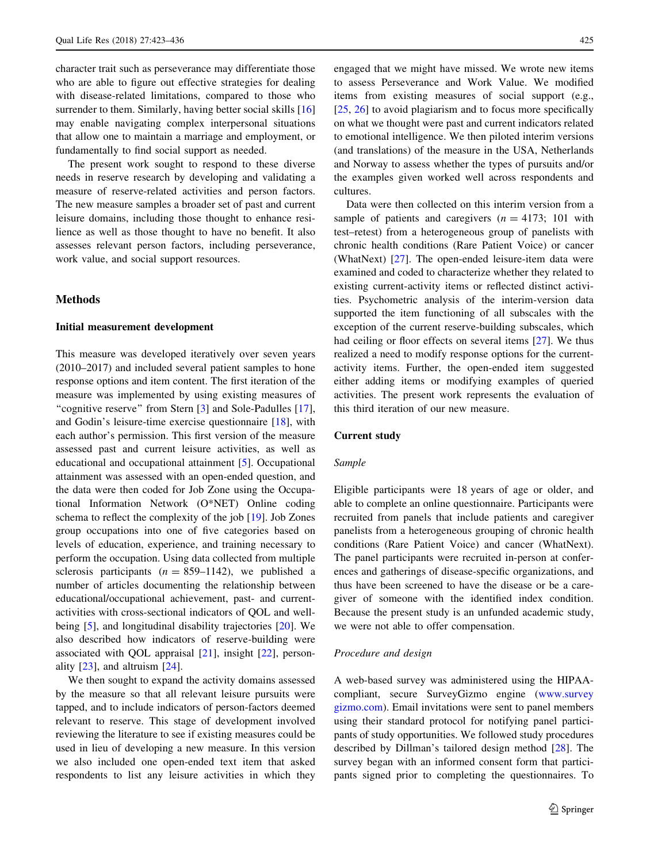character trait such as perseverance may differentiate those who are able to figure out effective strategies for dealing with disease-related limitations, compared to those who surrender to them. Similarly, having better social skills [[16\]](#page-12-0) may enable navigating complex interpersonal situations that allow one to maintain a marriage and employment, or fundamentally to find social support as needed.

The present work sought to respond to these diverse needs in reserve research by developing and validating a measure of reserve-related activities and person factors. The new measure samples a broader set of past and current leisure domains, including those thought to enhance resilience as well as those thought to have no benefit. It also assesses relevant person factors, including perseverance, work value, and social support resources.

### Methods

#### Initial measurement development

This measure was developed iteratively over seven years (2010–2017) and included several patient samples to hone response options and item content. The first iteration of the measure was implemented by using existing measures of "cognitive reserve" from Stern [[3\]](#page-12-0) and Sole-Padulles [\[17](#page-12-0)], and Godin's leisure-time exercise questionnaire [\[18](#page-12-0)], with each author's permission. This first version of the measure assessed past and current leisure activities, as well as educational and occupational attainment [[5\]](#page-12-0). Occupational attainment was assessed with an open-ended question, and the data were then coded for Job Zone using the Occupational Information Network (O\*NET) Online coding schema to reflect the complexity of the job [[19\]](#page-12-0). Job Zones group occupations into one of five categories based on levels of education, experience, and training necessary to perform the occupation. Using data collected from multiple sclerosis participants ( $n = 859-1142$ ), we published a number of articles documenting the relationship between educational/occupational achievement, past- and currentactivities with cross-sectional indicators of QOL and wellbeing [[5\]](#page-12-0), and longitudinal disability trajectories [[20](#page-12-0)]. We also described how indicators of reserve-building were associated with QOL appraisal [\[21](#page-12-0)], insight [[22\]](#page-12-0), personality [[23\]](#page-12-0), and altruism [[24\]](#page-12-0).

We then sought to expand the activity domains assessed by the measure so that all relevant leisure pursuits were tapped, and to include indicators of person-factors deemed relevant to reserve. This stage of development involved reviewing the literature to see if existing measures could be used in lieu of developing a new measure. In this version we also included one open-ended text item that asked respondents to list any leisure activities in which they engaged that we might have missed. We wrote new items to assess Perseverance and Work Value. We modified items from existing measures of social support (e.g., [\[25](#page-12-0), [26\]](#page-12-0) to avoid plagiarism and to focus more specifically on what we thought were past and current indicators related to emotional intelligence. We then piloted interim versions (and translations) of the measure in the USA, Netherlands and Norway to assess whether the types of pursuits and/or the examples given worked well across respondents and cultures.

Data were then collected on this interim version from a sample of patients and caregivers  $(n = 4173; 101$  with test–retest) from a heterogeneous group of panelists with chronic health conditions (Rare Patient Voice) or cancer (WhatNext) [\[27](#page-12-0)]. The open-ended leisure-item data were examined and coded to characterize whether they related to existing current-activity items or reflected distinct activities. Psychometric analysis of the interim-version data supported the item functioning of all subscales with the exception of the current reserve-building subscales, which had ceiling or floor effects on several items [\[27](#page-12-0)]. We thus realized a need to modify response options for the currentactivity items. Further, the open-ended item suggested either adding items or modifying examples of queried activities. The present work represents the evaluation of this third iteration of our new measure.

#### Current study

### Sample

Eligible participants were 18 years of age or older, and able to complete an online questionnaire. Participants were recruited from panels that include patients and caregiver panelists from a heterogeneous grouping of chronic health conditions (Rare Patient Voice) and cancer (WhatNext). The panel participants were recruited in-person at conferences and gatherings of disease-specific organizations, and thus have been screened to have the disease or be a caregiver of someone with the identified index condition. Because the present study is an unfunded academic study, we were not able to offer compensation.

#### Procedure and design

A web-based survey was administered using the HIPAAcompliant, secure SurveyGizmo engine ([www.survey](http://www.surveygizmo.com) [gizmo.com\)](http://www.surveygizmo.com). Email invitations were sent to panel members using their standard protocol for notifying panel participants of study opportunities. We followed study procedures described by Dillman's tailored design method [[28\]](#page-12-0). The survey began with an informed consent form that participants signed prior to completing the questionnaires. To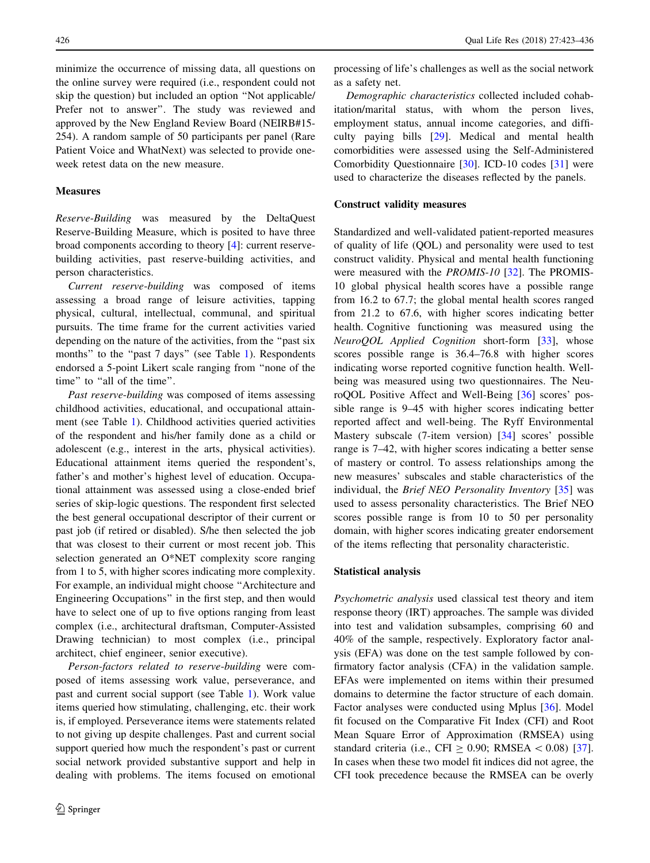minimize the occurrence of missing data, all questions on the online survey were required (i.e., respondent could not skip the question) but included an option ''Not applicable/ Prefer not to answer''. The study was reviewed and approved by the New England Review Board (NEIRB#15- 254). A random sample of 50 participants per panel (Rare Patient Voice and WhatNext) was selected to provide oneweek retest data on the new measure.

### **Measures**

Reserve-Building was measured by the DeltaQuest Reserve-Building Measure, which is posited to have three broad components according to theory [[4\]](#page-12-0): current reservebuilding activities, past reserve-building activities, and person characteristics.

Current reserve-building was composed of items assessing a broad range of leisure activities, tapping physical, cultural, intellectual, communal, and spiritual pursuits. The time frame for the current activities varied depending on the nature of the activities, from the ''past six months" to the "past 7 days" (see Table [1\)](#page-4-0). Respondents endorsed a 5-point Likert scale ranging from ''none of the time" to "all of the time".

Past reserve-building was composed of items assessing childhood activities, educational, and occupational attainment (see Table [1](#page-4-0)). Childhood activities queried activities of the respondent and his/her family done as a child or adolescent (e.g., interest in the arts, physical activities). Educational attainment items queried the respondent's, father's and mother's highest level of education. Occupational attainment was assessed using a close-ended brief series of skip-logic questions. The respondent first selected the best general occupational descriptor of their current or past job (if retired or disabled). S/he then selected the job that was closest to their current or most recent job. This selection generated an O\*NET complexity score ranging from 1 to 5, with higher scores indicating more complexity. For example, an individual might choose ''Architecture and Engineering Occupations'' in the first step, and then would have to select one of up to five options ranging from least complex (i.e., architectural draftsman, Computer-Assisted Drawing technician) to most complex (i.e., principal architect, chief engineer, senior executive).

Person-factors related to reserve-building were composed of items assessing work value, perseverance, and past and current social support (see Table [1\)](#page-4-0). Work value items queried how stimulating, challenging, etc. their work is, if employed. Perseverance items were statements related to not giving up despite challenges. Past and current social support queried how much the respondent's past or current social network provided substantive support and help in dealing with problems. The items focused on emotional

processing of life's challenges as well as the social network as a safety net.

Demographic characteristics collected included cohabitation/marital status, with whom the person lives, employment status, annual income categories, and difficulty paying bills [[29\]](#page-12-0). Medical and mental health comorbidities were assessed using the Self-Administered Comorbidity Questionnaire [\[30](#page-12-0)]. ICD-10 codes [[31\]](#page-12-0) were used to characterize the diseases reflected by the panels.

### Construct validity measures

Standardized and well-validated patient-reported measures of quality of life (QOL) and personality were used to test construct validity. Physical and mental health functioning were measured with the *PROMIS-10* [\[32](#page-12-0)]. The PROMIS-10 global physical health scores have a possible range from 16.2 to 67.7; the global mental health scores ranged from 21.2 to 67.6, with higher scores indicating better health. Cognitive functioning was measured using the NeuroQOL Applied Cognition short-form [\[33\]](#page-12-0), whose scores possible range is 36.4–76.8 with higher scores indicating worse reported cognitive function health. Wellbeing was measured using two questionnaires. The NeuroQOL Positive Affect and Well-Being [\[36](#page-12-0)] scores' possible range is 9–45 with higher scores indicating better reported affect and well-being. The Ryff Environmental Mastery subscale (7-item version) [\[34](#page-12-0)] scores' possible range is 7–42, with higher scores indicating a better sense of mastery or control. To assess relationships among the new measures' subscales and stable characteristics of the individual, the *Brief NEO Personality Inventory* [[35\]](#page-12-0) was used to assess personality characteristics. The Brief NEO scores possible range is from 10 to 50 per personality domain, with higher scores indicating greater endorsement of the items reflecting that personality characteristic.

#### Statistical analysis

Psychometric analysis used classical test theory and item response theory (IRT) approaches. The sample was divided into test and validation subsamples, comprising 60 and 40% of the sample, respectively. Exploratory factor analysis (EFA) was done on the test sample followed by confirmatory factor analysis (CFA) in the validation sample. EFAs were implemented on items within their presumed domains to determine the factor structure of each domain. Factor analyses were conducted using Mplus [[36\]](#page-12-0). Model fit focused on the Comparative Fit Index (CFI) and Root Mean Square Error of Approximation (RMSEA) using standard criteria (i.e., CFI  $\geq$  0.90; RMSEA < 0.08) [\[37](#page-12-0)]. In cases when these two model fit indices did not agree, the CFI took precedence because the RMSEA can be overly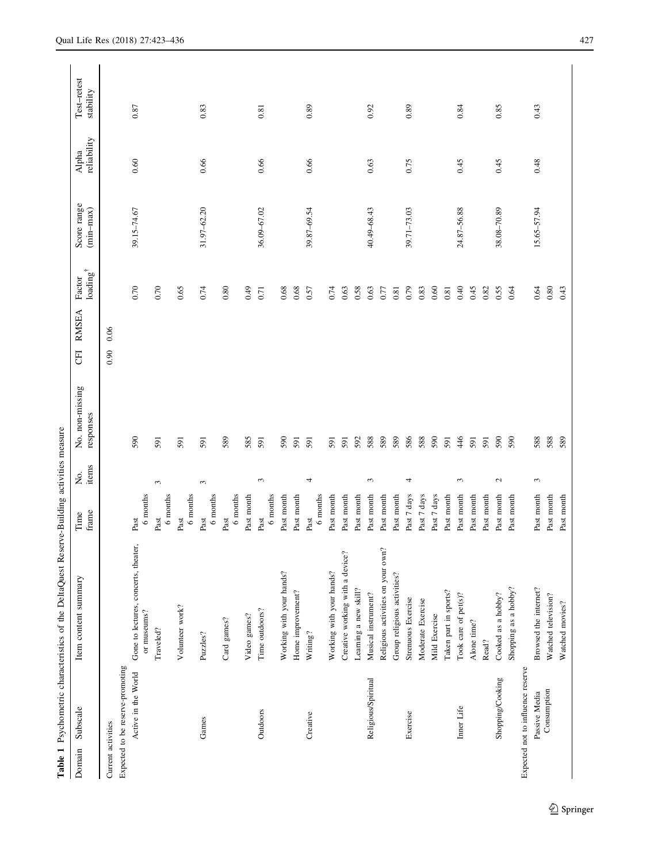<span id="page-4-0"></span>

|                                   | Table 1 Psychometric characteristics of the DeltaQuest Reserve-Building activities measure |                  |               |                              |                   |                                      |                            |                      |                          |
|-----------------------------------|--------------------------------------------------------------------------------------------|------------------|---------------|------------------------------|-------------------|--------------------------------------|----------------------------|----------------------|--------------------------|
| Subscale<br>Domain                | Item content summary                                                                       | frame<br>Time    | items<br>Ż.   | No. non-missing<br>responses | <b>RMSEA</b><br>E | $\text{loading}^{\dagger}$<br>Factor | Score range<br>$(min-max)$ | reliability<br>Alpha | Test-retest<br>stability |
| Current activities                |                                                                                            |                  |               |                              | 0.06<br>0.90      |                                      |                            |                      |                          |
| Expected to be reserve-promoting  |                                                                                            |                  |               |                              |                   |                                      |                            |                      |                          |
| Active in the World               | Gone to lectures, concerts, theater,<br>or museums?                                        | 6 months<br>Past |               | 590                          |                   | 0.70                                 | 39.15-74.67                | 0.60                 | 0.87                     |
|                                   | Traveled?                                                                                  | 6 months<br>Past | 3             | 591                          |                   | 0.70                                 |                            |                      |                          |
|                                   | Volunteer work?                                                                            | 6 months<br>Past |               | 591                          |                   | 0.65                                 |                            |                      |                          |
| Games                             | Puzzles?                                                                                   | 6 months<br>Past | 3             | 591                          |                   | 0.74                                 | 31.97-62.20                | 0.66                 | 0.83                     |
|                                   | Card games?                                                                                | 6 months<br>Past |               | 589                          |                   | 0.80                                 |                            |                      |                          |
|                                   | Video games?                                                                               | Past month       |               | 585                          |                   | 0.49                                 |                            |                      |                          |
| Outdoors                          | Time outdoors?                                                                             | 6 months<br>Past | $\epsilon$    | 591                          |                   | 0.71                                 | 36.09-67.02                | 0.66                 | 0.81                     |
|                                   | Working with your hands?                                                                   | Past month       |               | 590                          |                   | 0.68                                 |                            |                      |                          |
|                                   | Home improvement?                                                                          | Past month       |               | 591                          |                   | 0.68                                 |                            |                      |                          |
| Creative                          | Writing?                                                                                   | 6 months<br>Past | 4             | 591                          |                   | 0.57                                 | 39.87-69.54                | 0.66                 | 0.89                     |
|                                   | Working with your hands?                                                                   | Past month       |               | 591                          |                   | 0.74                                 |                            |                      |                          |
|                                   | Creative working with a device?                                                            | Past month       |               | 591                          |                   | 0.63                                 |                            |                      |                          |
|                                   | Learning a new skill?                                                                      | Past month       |               | 592                          |                   | 0.58                                 |                            |                      |                          |
| Religious/Spiritual               | Musical instrument?                                                                        | Past month       | 3             | 588                          |                   | 0.63                                 | 40.49-68.43                | 0.63                 | 0.92                     |
|                                   | Religious activities on your own?                                                          | Past month       |               | 589                          |                   | 0.77                                 |                            |                      |                          |
|                                   | Group religious activities?                                                                | Past month       |               | 589                          |                   | 0.81                                 |                            |                      |                          |
| Exercise                          | Strenuous Exercise                                                                         | Past 7 days      | 4             | 586                          |                   | 0.79                                 | 39.71-73.03                | 0.75                 | 0.89                     |
|                                   | Moderate Exercise                                                                          | Past 7 days      |               | 588                          |                   | $0.83\,$                             |                            |                      |                          |
|                                   | Mild Exercise                                                                              | Past 7 days      |               | 590                          |                   | 0.60                                 |                            |                      |                          |
|                                   | Taken part in sports?                                                                      | Past month       |               | 591                          |                   | 0.81                                 |                            |                      |                          |
| Inner Life                        | Took care of pet(s)?                                                                       | Past month       | 3             | 446                          |                   | 0.40                                 | 24.87-56.88                | 0.45                 | 0.84                     |
|                                   | Alone time?                                                                                | Past month       |               | 591                          |                   | 0.45                                 |                            |                      |                          |
|                                   | Read?                                                                                      | Past month       |               | 591                          |                   | 0.82                                 |                            |                      |                          |
| Shopping/Cooking                  | Cooked as a hobby?                                                                         | Past month       | $\mathcal{L}$ | 590                          |                   | 0.55                                 | 38.08-70.89                | 0.45                 | 0.85                     |
|                                   | Shopping as a hobby?                                                                       | Past month       |               | 590                          |                   | 0.64                                 |                            |                      |                          |
| Expected not to influence reserve |                                                                                            |                  |               |                              |                   |                                      |                            |                      |                          |
| Passive Media                     | Browsed the internet?                                                                      | Past month       | 3             | 588                          |                   | 0.64                                 | 15.65-57.94                | 0.48                 | 0.43                     |
| Consumption                       | Watched television?                                                                        | Past month       |               | 588                          |                   | $0.80\,$                             |                            |                      |                          |
|                                   | Watched movies?                                                                            | Past month       |               | 589                          |                   | 0.43                                 |                            |                      |                          |

 $\underline{\textcircled{\tiny 2}}$  Springer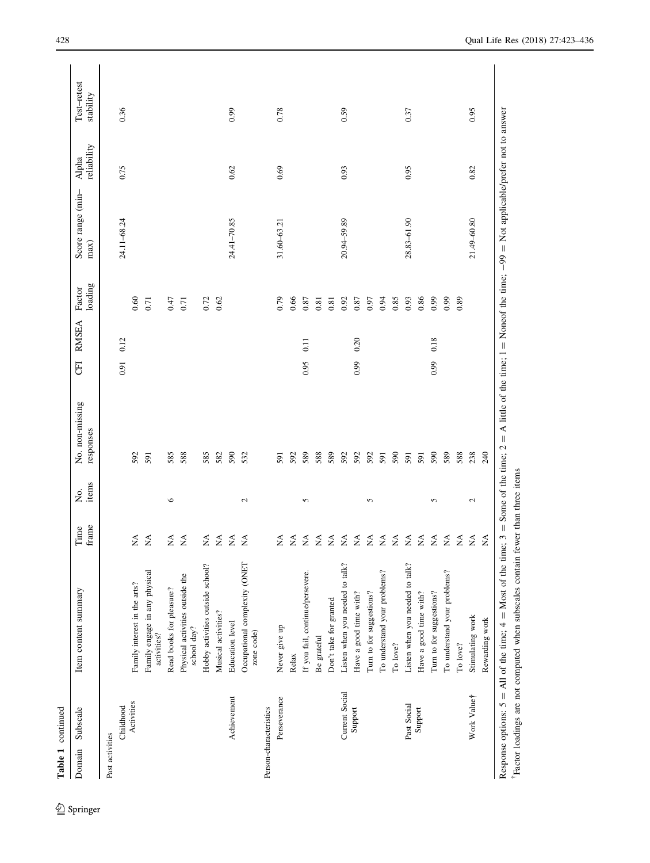| Table 1 continued      |                         |                                                                        |                                     |                        |                              |      |              |                   |                                                                                              |                      |                          |
|------------------------|-------------------------|------------------------------------------------------------------------|-------------------------------------|------------------------|------------------------------|------|--------------|-------------------|----------------------------------------------------------------------------------------------|----------------------|--------------------------|
| Domain                 | Subscale                | Item content summary                                                   | frame<br>Time                       | items<br>Χo.           | No. non-missing<br>responses | E    | <b>RMSEA</b> | loading<br>Factor | Score range (min-<br>max                                                                     | reliability<br>Alpha | Test-retest<br>stability |
| Past activities        |                         |                                                                        |                                     |                        |                              |      |              |                   |                                                                                              |                      |                          |
|                        | Childhood               |                                                                        |                                     |                        |                              | 0.91 | 0.12         |                   | 24.11-68.24                                                                                  | 0.75                 | 0.36                     |
|                        | Activities              | Family interest in the arts?                                           | Ź                                   |                        | 592                          |      |              | 0.60              |                                                                                              |                      |                          |
|                        |                         | Family engage in any physical<br>activities?                           | Ź                                   |                        | 591                          |      |              | 0.71              |                                                                                              |                      |                          |
|                        |                         | Read books for pleasure?                                               | $\stackrel{\triangle}{\simeq}$      | $\circ$                | 585                          |      |              | 0.47              |                                                                                              |                      |                          |
|                        |                         | Physical activities outside the<br>school day?                         | $\lessapprox$                       |                        | 588                          |      |              | 0.71              |                                                                                              |                      |                          |
|                        |                         | Hobby activities outside school?                                       | $\stackrel{\triangle}{\geq}$        |                        | 585                          |      |              | 0.72              |                                                                                              |                      |                          |
|                        |                         | Musical activities?                                                    | $\lessapprox$                       |                        | 582                          |      |              | 0.62              |                                                                                              |                      |                          |
|                        | Achievement             | Education level                                                        | $\stackrel{\triangle}{\geq}$        |                        | 590                          |      |              |                   | 24.41-70.85                                                                                  | 0.62                 | 660                      |
|                        |                         | Occupational complexity (ONET<br>zone code)                            | $\mathbb{A}$                        | $\mathbf{c}$           | 532                          |      |              |                   |                                                                                              |                      |                          |
| Person-characteristics |                         |                                                                        |                                     |                        |                              |      |              |                   |                                                                                              |                      |                          |
|                        | Perseverance            | Never give up                                                          | Ź                                   |                        | 591                          |      |              | 0.79              | 31.60-63.21                                                                                  | 0.69                 | 0.78                     |
|                        |                         | Relax                                                                  | $\stackrel{\triangle}{\simeq}$      |                        | 592                          |      |              | 0.66              |                                                                                              |                      |                          |
|                        |                         | If you fail, continue/persevere.                                       | $\lesssim$                          | 5                      | 589                          | 0.95 | 0.11         | 0.87              |                                                                                              |                      |                          |
|                        |                         | Be grateful                                                            | $\stackrel{\triangle}{\geq}$        |                        | 588                          |      |              | 0.81              |                                                                                              |                      |                          |
|                        |                         | Don't take for granted                                                 | $\lessapprox$                       |                        | 589                          |      |              | 0.81              |                                                                                              |                      |                          |
|                        | Current Social          | Listen when you needed to talk?                                        | $\lessapprox$                       |                        | 592                          |      |              | 0.92              | 20.94-59.89                                                                                  | 0.93                 | 0.59                     |
|                        | Support                 | Have a good time with?                                                 | $\stackrel{\triangle}{\geq}$        |                        | 592                          | 0.99 | 0.20         | 0.87              |                                                                                              |                      |                          |
|                        |                         | Turn to for suggestions?                                               | $\lesssim$                          | 5                      | 592                          |      |              | 0.97              |                                                                                              |                      |                          |
|                        |                         | To understand your problems?                                           | $\stackrel{\triangle}{\geq}$        |                        | 591                          |      |              | 0.94              |                                                                                              |                      |                          |
|                        |                         | To love?                                                               | $\stackrel{\blacktriangle}{\ge}$    |                        | 590                          |      |              | 0.85              |                                                                                              |                      |                          |
|                        | Past Social             | Listen when you needed to talk?                                        | $\lesssim$                          |                        | 591                          |      |              | 0.93              | 28.83-61.90                                                                                  | 0.95                 | 0.37                     |
|                        | Support                 | Have a good time with?                                                 | $\stackrel{\blacktriangle}{\simeq}$ |                        | 591                          |      |              | 0.86              |                                                                                              |                      |                          |
|                        |                         | Turn to for suggestions?                                               | $\lessapprox$                       | 5                      | 590                          | 0.99 | 0.18         | 0.99              |                                                                                              |                      |                          |
|                        |                         | To understand your problems?                                           | $\lesssim$                          |                        | 589                          |      |              | 0.99              |                                                                                              |                      |                          |
|                        |                         | To love?                                                               |                                     |                        | 588                          |      |              | 0.89              |                                                                                              |                      |                          |
|                        | Work Value <sup>†</sup> | Stimulating work                                                       | $\stackrel{\triangle}{\simeq}$      | $\mathbf{C}$           | 238                          |      |              |                   | 21.49-60.80                                                                                  | 0.82                 | 0.95                     |
|                        |                         | Rewarding work                                                         | ≸                                   |                        | 240                          |      |              |                   |                                                                                              |                      |                          |
|                        |                         | Response options: $5 = All$ of the time; $4 = Most$ of the tim         | $\parallel$<br>ie; 3                | Some of the time; 2    |                              |      |              |                   | $=$ A little of the time; $l =$ Noneof the time; $-99 =$ Not applicable/prefer not to answer |                      |                          |
|                        |                         | <sup>*</sup> Factor loadings are not computed when subscales contain f |                                     | fewer than three items |                              |      |              |                   |                                                                                              |                      |                          |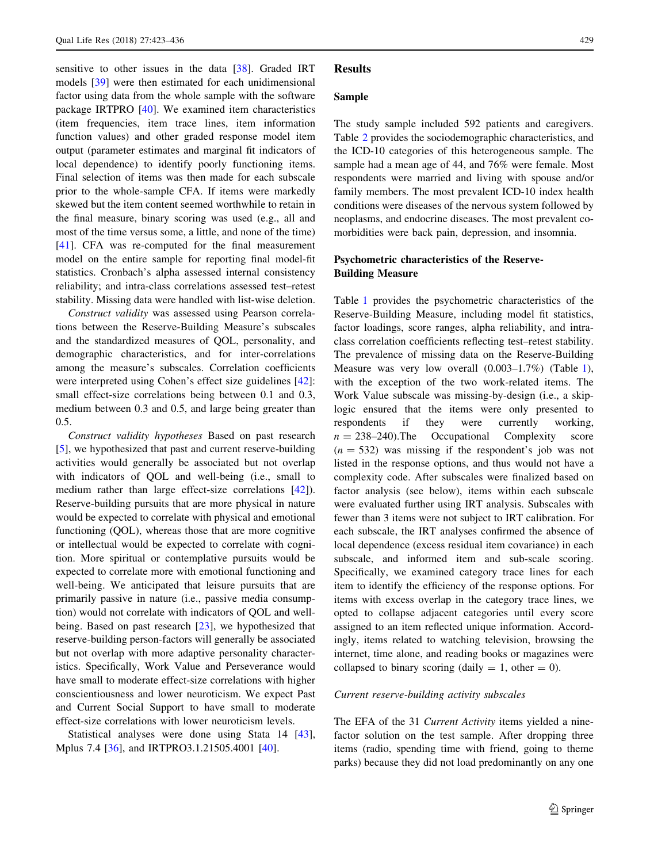sensitive to other issues in the data [[38\]](#page-12-0). Graded IRT models [[39\]](#page-12-0) were then estimated for each unidimensional factor using data from the whole sample with the software package IRTPRO [\[40](#page-12-0)]. We examined item characteristics (item frequencies, item trace lines, item information function values) and other graded response model item output (parameter estimates and marginal fit indicators of local dependence) to identify poorly functioning items. Final selection of items was then made for each subscale prior to the whole-sample CFA. If items were markedly skewed but the item content seemed worthwhile to retain in the final measure, binary scoring was used (e.g., all and most of the time versus some, a little, and none of the time) [\[41](#page-13-0)]. CFA was re-computed for the final measurement model on the entire sample for reporting final model-fit statistics. Cronbach's alpha assessed internal consistency reliability; and intra-class correlations assessed test–retest stability. Missing data were handled with list-wise deletion.

Construct validity was assessed using Pearson correlations between the Reserve-Building Measure's subscales and the standardized measures of QOL, personality, and demographic characteristics, and for inter-correlations among the measure's subscales. Correlation coefficients were interpreted using Cohen's effect size guidelines [\[42](#page-13-0)]: small effect-size correlations being between 0.1 and 0.3, medium between 0.3 and 0.5, and large being greater than 0.5.

Construct validity hypotheses Based on past research [\[5](#page-12-0)], we hypothesized that past and current reserve-building activities would generally be associated but not overlap with indicators of QOL and well-being (i.e., small to medium rather than large effect-size correlations [[42](#page-13-0)]). Reserve-building pursuits that are more physical in nature would be expected to correlate with physical and emotional functioning (QOL), whereas those that are more cognitive or intellectual would be expected to correlate with cognition. More spiritual or contemplative pursuits would be expected to correlate more with emotional functioning and well-being. We anticipated that leisure pursuits that are primarily passive in nature (i.e., passive media consumption) would not correlate with indicators of QOL and well-being. Based on past research [\[23](#page-12-0)], we hypothesized that reserve-building person-factors will generally be associated but not overlap with more adaptive personality characteristics. Specifically, Work Value and Perseverance would have small to moderate effect-size correlations with higher conscientiousness and lower neuroticism. We expect Past and Current Social Support to have small to moderate effect-size correlations with lower neuroticism levels.

Statistical analyses were done using Stata 14 [\[43](#page-13-0)], Mplus 7.4 [[36\]](#page-12-0), and IRTPRO3.1.21505.4001 [\[40](#page-12-0)].

## **Results**

### Sample

The study sample included 592 patients and caregivers. Table [2](#page-8-0) provides the sociodemographic characteristics, and the ICD-10 categories of this heterogeneous sample. The sample had a mean age of 44, and 76% were female. Most respondents were married and living with spouse and/or family members. The most prevalent ICD-10 index health conditions were diseases of the nervous system followed by neoplasms, and endocrine diseases. The most prevalent comorbidities were back pain, depression, and insomnia.

### Psychometric characteristics of the Reserve-Building Measure

Table [1](#page-4-0) provides the psychometric characteristics of the Reserve-Building Measure, including model fit statistics, factor loadings, score ranges, alpha reliability, and intraclass correlation coefficients reflecting test–retest stability. The prevalence of missing data on the Reserve-Building Measure was very low overall (0.003–1.7%) (Table [1](#page-4-0)), with the exception of the two work-related items. The Work Value subscale was missing-by-design (i.e., a skiplogic ensured that the items were only presented to respondents if they were currently working,  $n = 238-240$ . The Occupational Complexity score  $(n = 532)$  was missing if the respondent's job was not listed in the response options, and thus would not have a complexity code. After subscales were finalized based on factor analysis (see below), items within each subscale were evaluated further using IRT analysis. Subscales with fewer than 3 items were not subject to IRT calibration. For each subscale, the IRT analyses confirmed the absence of local dependence (excess residual item covariance) in each subscale, and informed item and sub-scale scoring. Specifically, we examined category trace lines for each item to identify the efficiency of the response options. For items with excess overlap in the category trace lines, we opted to collapse adjacent categories until every score assigned to an item reflected unique information. Accordingly, items related to watching television, browsing the internet, time alone, and reading books or magazines were collapsed to binary scoring (daily  $= 1$ , other  $= 0$ ).

#### Current reserve-building activity subscales

The EFA of the 31 Current Activity items yielded a ninefactor solution on the test sample. After dropping three items (radio, spending time with friend, going to theme parks) because they did not load predominantly on any one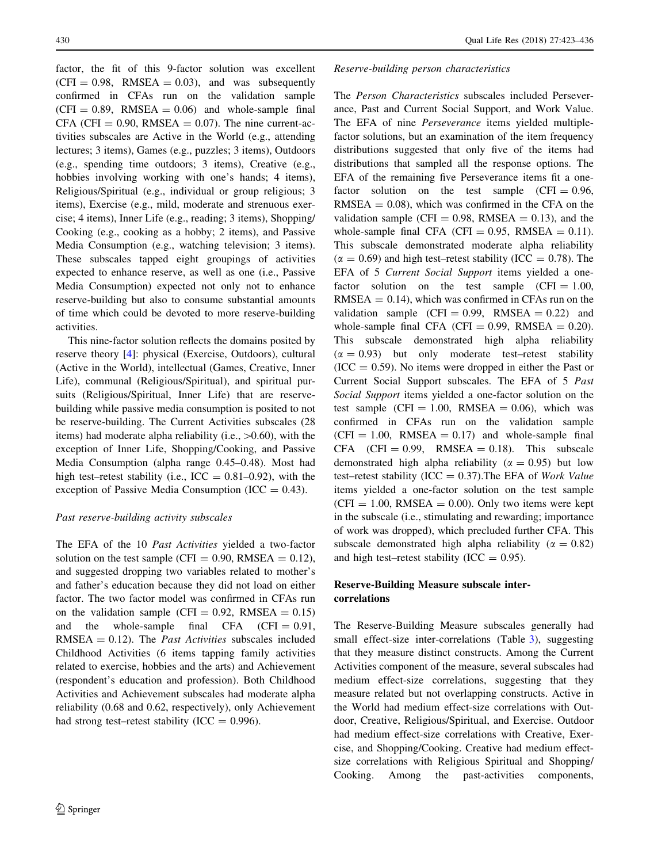factor, the fit of this 9-factor solution was excellent  $(CFI = 0.98$ , RMSEA = 0.03), and was subsequently confirmed in CFAs run on the validation sample  $(CFI = 0.89$ , RMSEA = 0.06) and whole-sample final CFA (CFI =  $0.90$ , RMSEA =  $0.07$ ). The nine current-activities subscales are Active in the World (e.g., attending lectures; 3 items), Games (e.g., puzzles; 3 items), Outdoors (e.g., spending time outdoors; 3 items), Creative (e.g., hobbies involving working with one's hands; 4 items), Religious/Spiritual (e.g., individual or group religious; 3 items), Exercise (e.g., mild, moderate and strenuous exercise; 4 items), Inner Life (e.g., reading; 3 items), Shopping/ Cooking (e.g., cooking as a hobby; 2 items), and Passive Media Consumption (e.g., watching television; 3 items). These subscales tapped eight groupings of activities expected to enhance reserve, as well as one (i.e., Passive Media Consumption) expected not only not to enhance reserve-building but also to consume substantial amounts of time which could be devoted to more reserve-building activities.

This nine-factor solution reflects the domains posited by reserve theory [\[4](#page-12-0)]: physical (Exercise, Outdoors), cultural (Active in the World), intellectual (Games, Creative, Inner Life), communal (Religious/Spiritual), and spiritual pursuits (Religious/Spiritual, Inner Life) that are reservebuilding while passive media consumption is posited to not be reserve-building. The Current Activities subscales (28 items) had moderate alpha reliability (i.e.,  $>0.60$ ), with the exception of Inner Life, Shopping/Cooking, and Passive Media Consumption (alpha range 0.45–0.48). Most had high test–retest stability (i.e.,  $ICC = 0.81-0.92)$ , with the exception of Passive Media Consumption (ICC  $= 0.43$ ).

### Past reserve-building activity subscales

The EFA of the 10 Past Activities yielded a two-factor solution on the test sample (CFI =  $0.90$ , RMSEA =  $0.12$ ), and suggested dropping two variables related to mother's and father's education because they did not load on either factor. The two factor model was confirmed in CFAs run on the validation sample (CFI =  $0.92$ , RMSEA =  $0.15$ ) and the whole-sample final CFA  $(CFI = 0.91$ ,  $RMSEA = 0.12$ . The *Past Activities* subscales included Childhood Activities (6 items tapping family activities related to exercise, hobbies and the arts) and Achievement (respondent's education and profession). Both Childhood Activities and Achievement subscales had moderate alpha reliability (0.68 and 0.62, respectively), only Achievement had strong test–retest stability (ICC  $= 0.996$ ).

#### Reserve-building person characteristics

The Person Characteristics subscales included Perseverance, Past and Current Social Support, and Work Value. The EFA of nine Perseverance items yielded multiplefactor solutions, but an examination of the item frequency distributions suggested that only five of the items had distributions that sampled all the response options. The EFA of the remaining five Perseverance items fit a onefactor solution on the test sample  $(CFI = 0.96,$  $RMSEA = 0.08$ , which was confirmed in the CFA on the validation sample (CFI =  $0.98$ , RMSEA =  $0.13$ ), and the whole-sample final CFA (CFI =  $0.95$ , RMSEA =  $0.11$ ). This subscale demonstrated moderate alpha reliability  $(\alpha = 0.69)$  and high test–retest stability (ICC = 0.78). The EFA of 5 Current Social Support items yielded a onefactor solution on the test sample  $(CFI = 1.00,$  $RMSEA = 0.14$ , which was confirmed in CFAs run on the validation sample  $(CFI = 0.99$ , RMSEA = 0.22) and whole-sample final CFA (CFI =  $0.99$ , RMSEA =  $0.20$ ). This subscale demonstrated high alpha reliability  $(\alpha = 0.93)$  but only moderate test–retest stability  $(ICC = 0.59)$ . No items were dropped in either the Past or Current Social Support subscales. The EFA of 5 Past Social Support items yielded a one-factor solution on the test sample  $(CFI = 1.00, RMSEA = 0.06)$ , which was confirmed in CFAs run on the validation sample  $(CFI = 1.00$ , RMSEA = 0.17) and whole-sample final CFA  $(CFI = 0.99$ , RMSEA = 0.18). This subscale demonstrated high alpha reliability ( $\alpha = 0.95$ ) but low test–retest stability (ICC =  $0.37$ ). The EFA of Work Value items yielded a one-factor solution on the test sample  $(CFI = 1.00, RMSEA = 0.00)$ . Only two items were kept in the subscale (i.e., stimulating and rewarding; importance of work was dropped), which precluded further CFA. This subscale demonstrated high alpha reliability ( $\alpha = 0.82$ ) and high test–retest stability (ICC =  $0.95$ ).

### Reserve-Building Measure subscale intercorrelations

The Reserve-Building Measure subscales generally had small effect-size inter-correlations (Table [3](#page-9-0)), suggesting that they measure distinct constructs. Among the Current Activities component of the measure, several subscales had medium effect-size correlations, suggesting that they measure related but not overlapping constructs. Active in the World had medium effect-size correlations with Outdoor, Creative, Religious/Spiritual, and Exercise. Outdoor had medium effect-size correlations with Creative, Exercise, and Shopping/Cooking. Creative had medium effectsize correlations with Religious Spiritual and Shopping/ Cooking. Among the past-activities components,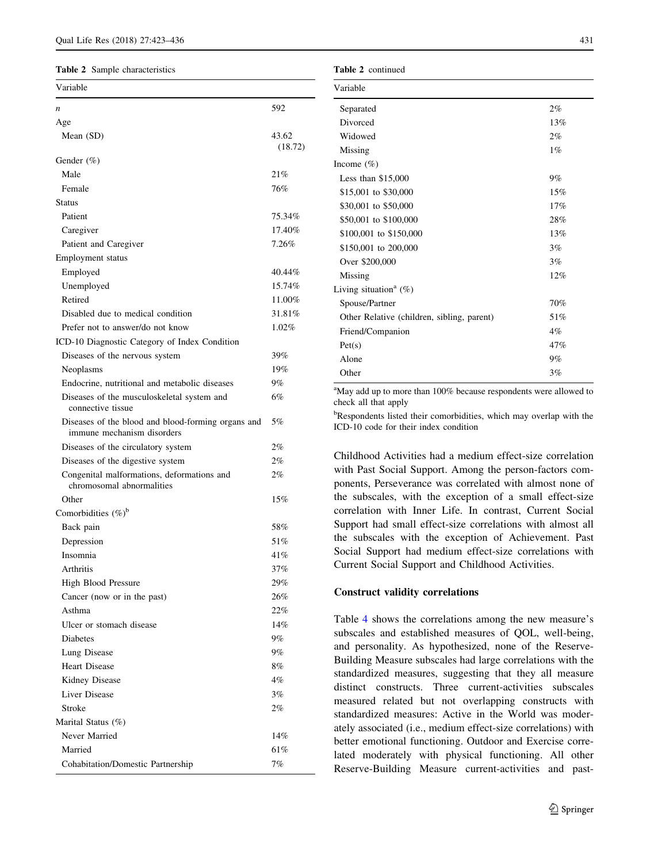### <span id="page-8-0"></span>Table 2 Sample characteristics

| Variable                                                                         |                  |
|----------------------------------------------------------------------------------|------------------|
| $\boldsymbol{n}$                                                                 | 592              |
| Age                                                                              |                  |
| Mean (SD)                                                                        | 43.62<br>(18.72) |
| Gender $(\%)$                                                                    |                  |
| Male                                                                             | 21%              |
| Female                                                                           | 76%              |
| Status                                                                           |                  |
| Patient                                                                          | 75.34%           |
| Caregiver                                                                        | 17.40%           |
| Patient and Caregiver                                                            | 7.26%            |
| Employment status                                                                |                  |
| Employed                                                                         | 40.44%           |
| Unemployed                                                                       | 15.74%           |
| Retired                                                                          | 11.00%           |
| Disabled due to medical condition                                                | 31.81%           |
| Prefer not to answer/do not know                                                 | 1.02%            |
| ICD-10 Diagnostic Category of Index Condition                                    |                  |
| Diseases of the nervous system                                                   | 39%              |
| Neoplasms                                                                        | 19%              |
| Endocrine, nutritional and metabolic diseases                                    | 9%               |
| Diseases of the musculoskeletal system and<br>connective tissue                  | 6%               |
| Diseases of the blood and blood-forming organs and<br>immune mechanism disorders | 5%               |
| Diseases of the circulatory system                                               | $2\%$            |
| Diseases of the digestive system                                                 | $2\%$            |
| Congenital malformations, deformations and<br>chromosomal abnormalities          | $2\%$            |
| Other                                                                            | 15%              |
| Comorbidities $(\%)^b$                                                           |                  |
| Back pain                                                                        | 58%              |
| Depression                                                                       | 51%              |
| Insomnia                                                                         | 41%              |
| Arthritis                                                                        | 37%              |
| <b>High Blood Pressure</b>                                                       | 29%              |
| Cancer (now or in the past)                                                      | 26%              |
| Asthma                                                                           | 22%              |
| Ulcer or stomach disease                                                         | 14%              |
| Diabetes                                                                         | 9%               |
| Lung Disease                                                                     | 9%               |
| <b>Heart Disease</b>                                                             | 8%               |
| Kidney Disease                                                                   | $4\%$            |
| <b>Liver Disease</b>                                                             | 3%               |
| Stroke                                                                           | 2%               |
| Marital Status (%)                                                               |                  |
| Never Married                                                                    | 14%              |
| Married                                                                          | 61%              |
| Cohabitation/Domestic Partnership                                                | 7%               |

| <b>Table 2</b> continued |  |
|--------------------------|--|
|--------------------------|--|

| Variable                                   |       |
|--------------------------------------------|-------|
| Separated                                  | $2\%$ |
| Divorced                                   | 13%   |
| Widowed                                    | 2%    |
| Missing                                    | $1\%$ |
| Income $(\% )$                             |       |
| Less than $$15,000$                        | 9%    |
| \$15,001 to \$30,000                       | 15%   |
| \$30,001 to \$50,000                       | 17%   |
| \$50,001 to \$100,000                      | 28%   |
| \$100,001 to \$150,000                     | 13%   |
| \$150,001 to 200,000                       | 3%    |
| Over \$200,000                             | 3%    |
| Missing                                    | 12%   |
| Living situation <sup>a</sup> $(\%)$       |       |
| Spouse/Partner                             | 70%   |
| Other Relative (children, sibling, parent) | 51%   |
| Friend/Companion                           | $4\%$ |
| Pet(s)                                     | 47%   |
| Alone                                      | 9%    |
| Other                                      | 3%    |
|                                            |       |

<sup>a</sup>May add up to more than 100% because respondents were allowed to check all that apply

<sup>b</sup>Respondents listed their comorbidities, which may overlap with the ICD-10 code for their index condition

Childhood Activities had a medium effect-size correlation with Past Social Support. Among the person-factors components, Perseverance was correlated with almost none of the subscales, with the exception of a small effect-size correlation with Inner Life. In contrast, Current Social Support had small effect-size correlations with almost all the subscales with the exception of Achievement. Past Social Support had medium effect-size correlations with Current Social Support and Childhood Activities.

#### Construct validity correlations

Table [4](#page-10-0) shows the correlations among the new measure's subscales and established measures of QOL, well-being, and personality. As hypothesized, none of the Reserve-Building Measure subscales had large correlations with the standardized measures, suggesting that they all measure distinct constructs. Three current-activities subscales measured related but not overlapping constructs with standardized measures: Active in the World was moderately associated (i.e., medium effect-size correlations) with better emotional functioning. Outdoor and Exercise correlated moderately with physical functioning. All other Reserve-Building Measure current-activities and past-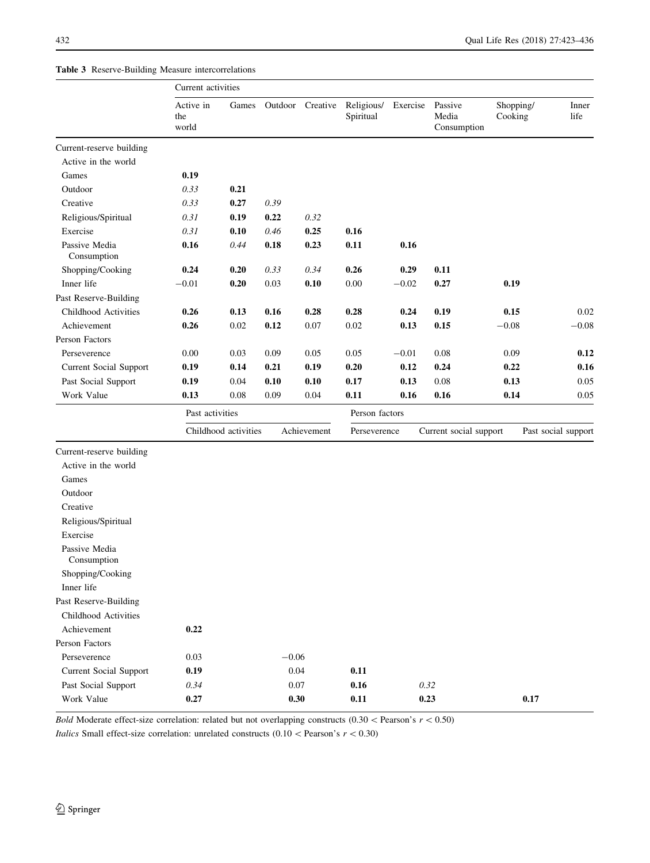### <span id="page-9-0"></span>Table 3 Reserve-Building Measure intercorrelations

|                               | Current activities        |                      |          |             |                         |          |                                 |                      |                     |
|-------------------------------|---------------------------|----------------------|----------|-------------|-------------------------|----------|---------------------------------|----------------------|---------------------|
|                               | Active in<br>the<br>world | Games                | Outdoor  | Creative    | Religious/<br>Spiritual | Exercise | Passive<br>Media<br>Consumption | Shopping/<br>Cooking | Inner<br>life       |
| Current-reserve building      |                           |                      |          |             |                         |          |                                 |                      |                     |
| Active in the world           |                           |                      |          |             |                         |          |                                 |                      |                     |
| Games                         | 0.19                      |                      |          |             |                         |          |                                 |                      |                     |
| Outdoor                       | 0.33                      | 0.21                 |          |             |                         |          |                                 |                      |                     |
| Creative                      | 0.33                      | 0.27                 | 0.39     |             |                         |          |                                 |                      |                     |
| Religious/Spiritual           | 0.31                      | 0.19                 | 0.22     | 0.32        |                         |          |                                 |                      |                     |
| Exercise                      | 0.31                      | 0.10                 | 0.46     | 0.25        | 0.16                    |          |                                 |                      |                     |
| Passive Media<br>Consumption  | 0.16                      | 0.44                 | 0.18     | 0.23        | 0.11                    | 0.16     |                                 |                      |                     |
| Shopping/Cooking              | 0.24                      | 0.20                 | 0.33     | 0.34        | 0.26                    | 0.29     | 0.11                            |                      |                     |
| Inner life                    | $-0.01$                   | 0.20                 | 0.03     | 0.10        | 0.00                    | $-0.02$  | 0.27                            | 0.19                 |                     |
| Past Reserve-Building         |                           |                      |          |             |                         |          |                                 |                      |                     |
| Childhood Activities          | 0.26                      | 0.13                 | 0.16     | 0.28        | 0.28                    | 0.24     | 0.19                            | 0.15                 | 0.02                |
| Achievement                   | 0.26                      | 0.02                 | 0.12     | 0.07        | 0.02                    | 0.13     | 0.15                            | $-0.08$              | $-0.08$             |
| Person Factors                |                           |                      |          |             |                         |          |                                 |                      |                     |
| Perseverence                  | 0.00                      | 0.03                 | 0.09     | 0.05        | 0.05                    | $-0.01$  | 0.08                            | 0.09                 | 0.12                |
| <b>Current Social Support</b> | 0.19                      | 0.14                 | 0.21     | 0.19        | 0.20                    | 0.12     | 0.24                            | 0.22                 | 0.16                |
| Past Social Support           | 0.19                      | 0.04                 | 0.10     | 0.10        | 0.17                    | 0.13     | 0.08                            | 0.13                 | 0.05                |
| Work Value                    | 0.13                      | 0.08                 | 0.09     | 0.04        | 0.11                    | 0.16     | 0.16                            | 0.14                 | 0.05                |
|                               | Past activities           |                      |          |             | Person factors          |          |                                 |                      |                     |
|                               |                           | Childhood activities |          | Achievement | Perseverence            |          | Current social support          |                      | Past social support |
|                               |                           |                      |          |             |                         |          |                                 |                      |                     |
| Current-reserve building      |                           |                      |          |             |                         |          |                                 |                      |                     |
| Active in the world           |                           |                      |          |             |                         |          |                                 |                      |                     |
| Games                         |                           |                      |          |             |                         |          |                                 |                      |                     |
| Outdoor                       |                           |                      |          |             |                         |          |                                 |                      |                     |
| Creative                      |                           |                      |          |             |                         |          |                                 |                      |                     |
| Religious/Spiritual           |                           |                      |          |             |                         |          |                                 |                      |                     |
| Exercise                      |                           |                      |          |             |                         |          |                                 |                      |                     |
| Passive Media<br>Consumption  |                           |                      |          |             |                         |          |                                 |                      |                     |
| Shopping/Cooking              |                           |                      |          |             |                         |          |                                 |                      |                     |
| Inner life                    |                           |                      |          |             |                         |          |                                 |                      |                     |
| Past Reserve-Building         |                           |                      |          |             |                         |          |                                 |                      |                     |
| Childhood Activities          |                           |                      |          |             |                         |          |                                 |                      |                     |
| Achievement                   | 0.22                      |                      |          |             |                         |          |                                 |                      |                     |
| Person Factors                |                           |                      |          |             |                         |          |                                 |                      |                     |
| Perseverence                  | 0.03                      |                      | $-0.06$  |             |                         |          |                                 |                      |                     |
| <b>Current Social Support</b> | 0.19                      |                      | 0.04     |             | 0.11                    |          |                                 |                      |                     |
| Past Social Support           | 0.34                      |                      | $0.07\,$ |             | 0.16                    |          | 0.32                            |                      |                     |
| Work Value                    | 0.27                      |                      | 0.30     |             | 0.11                    |          | 0.23                            | 0.17                 |                     |

Bold Moderate effect-size correlation: related but not overlapping constructs (0.30 < Pearson's  $r < 0.50$ )

*Italics* Small effect-size correlation: unrelated constructs (0.10 < Pearson's  $r < 0.30$ )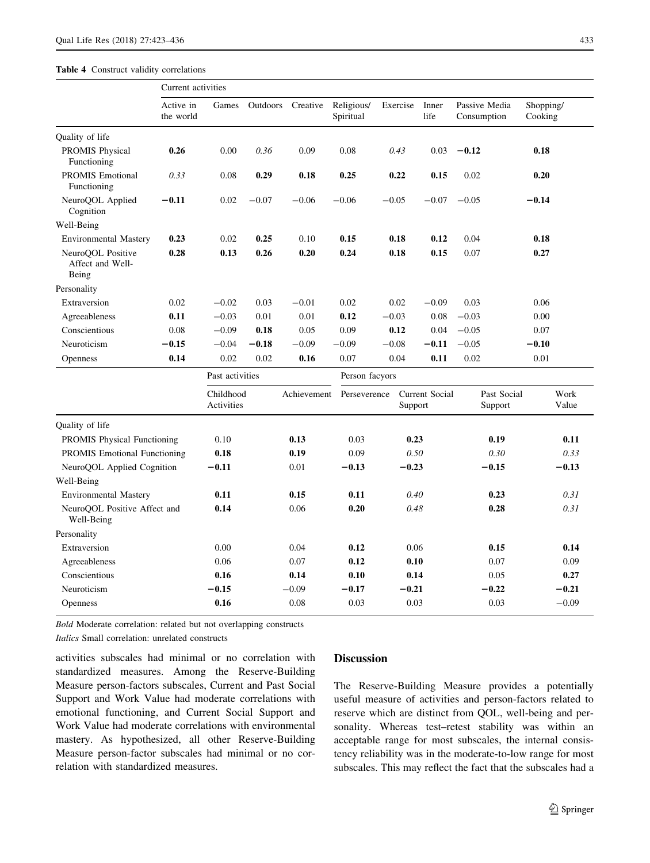#### <span id="page-10-0"></span>Table 4 Construct validity correlations

|                                                | Current activities     |                         |                 |             |                         |          |                |                              |                      |  |
|------------------------------------------------|------------------------|-------------------------|-----------------|-------------|-------------------------|----------|----------------|------------------------------|----------------------|--|
|                                                | Active in<br>the world | Games                   | <b>Outdoors</b> | Creative    | Religious/<br>Spiritual | Exercise | Inner<br>life  | Passive Media<br>Consumption | Shopping/<br>Cooking |  |
| Quality of life                                |                        |                         |                 |             |                         |          |                |                              |                      |  |
| PROMIS Physical<br>Functioning                 | 0.26                   | 0.00                    | 0.36            | 0.09        | 0.08                    | 0.43     | 0.03           | $-0.12$                      | 0.18                 |  |
| <b>PROMIS Emotional</b><br>Functioning         | 0.33                   | 0.08                    | 0.29            | 0.18        | 0.25                    | 0.22     | 0.15           | 0.02                         | 0.20                 |  |
| NeuroQOL Applied<br>Cognition                  | $-0.11$                | 0.02                    | $-0.07$         | $-0.06$     | $-0.06$                 | $-0.05$  | $-0.07$        | $-0.05$                      | $-0.14$              |  |
| Well-Being                                     |                        |                         |                 |             |                         |          |                |                              |                      |  |
| <b>Environmental Mastery</b>                   | 0.23                   | 0.02                    | 0.25            | 0.10        | 0.15                    | 0.18     | 0.12           | 0.04                         | 0.18                 |  |
| NeuroQOL Positive<br>Affect and Well-<br>Being | 0.28                   | 0.13                    | 0.26            | 0.20        | 0.24                    | 0.18     | 0.15           | 0.07                         | 0.27                 |  |
| Personality                                    |                        |                         |                 |             |                         |          |                |                              |                      |  |
| Extraversion                                   | 0.02                   | $-0.02$                 | 0.03            | $-0.01$     | 0.02                    | 0.02     | $-0.09$        | 0.03                         | 0.06                 |  |
| Agreeableness                                  | 0.11                   | $-0.03$                 | 0.01            | 0.01        | 0.12                    | $-0.03$  | 0.08           | $-0.03$                      | 0.00                 |  |
| Conscientious                                  | 0.08                   | $-0.09$                 | 0.18            | 0.05        | 0.09                    | 0.12     | 0.04           | $-0.05$                      | 0.07                 |  |
| Neuroticism                                    | $-0.15$                | $-0.04$                 | $-0.18$         | $-0.09$     | $-0.09$                 | $-0.08$  | $-0.11$        | $-0.05$                      | $-0.10$              |  |
| Openness                                       | 0.14                   | 0.02                    | 0.02            | 0.16        | 0.07                    | 0.04     | 0.11           | 0.02                         | 0.01                 |  |
|                                                |                        | Past activities         |                 |             | Person facyors          |          |                |                              |                      |  |
|                                                |                        | Childhood<br>Activities |                 | Achievement | Perseverence            | Support  | Current Social | Past Social<br>Support       | Work<br>Value        |  |
| Quality of life                                |                        |                         |                 |             |                         |          |                |                              |                      |  |
| <b>PROMIS</b> Physical Functioning             |                        | 0.10                    |                 | 0.13        | 0.03                    | 0.23     |                | 0.19                         | 0.11                 |  |
| PROMIS Emotional Functioning                   |                        | 0.18                    |                 | 0.19        | 0.09                    | 0.50     |                | 0.30                         | 0.33                 |  |
| NeuroQOL Applied Cognition                     |                        | $-0.11$                 |                 | 0.01        | $-0.13$                 | $-0.23$  |                | $-0.15$                      | $-0.13$              |  |
| Well-Being                                     |                        |                         |                 |             |                         |          |                |                              |                      |  |
| <b>Environmental Mastery</b>                   |                        | 0.11                    |                 | 0.15        | 0.11                    | 0.40     |                | 0.23                         | 0.31                 |  |
| NeuroQOL Positive Affect and<br>Well-Being     |                        | 0.14                    |                 | 0.06        | 0.20                    | 0.48     |                | 0.28                         | 0.31                 |  |
| Personality                                    |                        |                         |                 |             |                         |          |                |                              |                      |  |
| Extraversion                                   |                        | 0.00                    |                 | 0.04        | 0.12                    | 0.06     |                | 0.15                         | 0.14                 |  |
| Agreeableness                                  |                        | 0.06                    |                 | 0.07        | 0.12                    | 0.10     |                | 0.07                         | 0.09                 |  |
| Conscientious                                  |                        | 0.16                    |                 | 0.14        | 0.10                    | 0.14     |                | 0.05                         | 0.27                 |  |
| Neuroticism                                    |                        | $-0.15$                 |                 | $-0.09$     | $-0.17$                 | $-0.21$  |                | $-0.22$                      | $-0.21$              |  |
| Openness                                       |                        | 0.16                    |                 | 0.08        | 0.03                    | 0.03     |                | 0.03                         | $-0.09$              |  |

Bold Moderate correlation: related but not overlapping constructs

Italics Small correlation: unrelated constructs

activities subscales had minimal or no correlation with standardized measures. Among the Reserve-Building Measure person-factors subscales, Current and Past Social Support and Work Value had moderate correlations with emotional functioning, and Current Social Support and Work Value had moderate correlations with environmental mastery. As hypothesized, all other Reserve-Building Measure person-factor subscales had minimal or no correlation with standardized measures.

#### **Discussion**

The Reserve-Building Measure provides a potentially useful measure of activities and person-factors related to reserve which are distinct from QOL, well-being and personality. Whereas test–retest stability was within an acceptable range for most subscales, the internal consistency reliability was in the moderate-to-low range for most subscales. This may reflect the fact that the subscales had a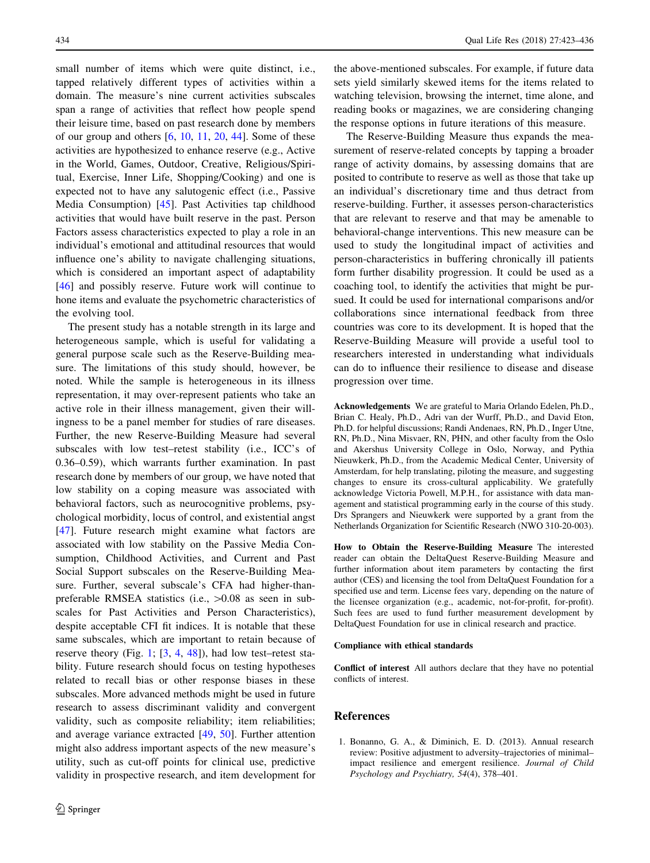<span id="page-11-0"></span>small number of items which were quite distinct, i.e., tapped relatively different types of activities within a domain. The measure's nine current activities subscales span a range of activities that reflect how people spend their leisure time, based on past research done by members of our group and others  $[6, 10, 11, 20, 44]$  $[6, 10, 11, 20, 44]$  $[6, 10, 11, 20, 44]$  $[6, 10, 11, 20, 44]$  $[6, 10, 11, 20, 44]$  $[6, 10, 11, 20, 44]$  $[6, 10, 11, 20, 44]$  $[6, 10, 11, 20, 44]$  $[6, 10, 11, 20, 44]$  $[6, 10, 11, 20, 44]$ . Some of these activities are hypothesized to enhance reserve (e.g., Active in the World, Games, Outdoor, Creative, Religious/Spiritual, Exercise, Inner Life, Shopping/Cooking) and one is expected not to have any salutogenic effect (i.e., Passive Media Consumption) [[45\]](#page-13-0). Past Activities tap childhood activities that would have built reserve in the past. Person Factors assess characteristics expected to play a role in an individual's emotional and attitudinal resources that would influence one's ability to navigate challenging situations, which is considered an important aspect of adaptability [\[46](#page-13-0)] and possibly reserve. Future work will continue to hone items and evaluate the psychometric characteristics of the evolving tool.

The present study has a notable strength in its large and heterogeneous sample, which is useful for validating a general purpose scale such as the Reserve-Building measure. The limitations of this study should, however, be noted. While the sample is heterogeneous in its illness representation, it may over-represent patients who take an active role in their illness management, given their willingness to be a panel member for studies of rare diseases. Further, the new Reserve-Building Measure had several subscales with low test–retest stability (i.e., ICC's of 0.36–0.59), which warrants further examination. In past research done by members of our group, we have noted that low stability on a coping measure was associated with behavioral factors, such as neurocognitive problems, psychological morbidity, locus of control, and existential angst [\[47](#page-13-0)]. Future research might examine what factors are associated with low stability on the Passive Media Consumption, Childhood Activities, and Current and Past Social Support subscales on the Reserve-Building Measure. Further, several subscale's CFA had higher-thanpreferable RMSEA statistics (i.e.,  $>0.08$  as seen in subscales for Past Activities and Person Characteristics), despite acceptable CFI fit indices. It is notable that these same subscales, which are important to retain because of reserve theory (Fig. [1;](#page-1-0) [[3,](#page-12-0) [4](#page-12-0), [48](#page-13-0)]), had low test–retest stability. Future research should focus on testing hypotheses related to recall bias or other response biases in these subscales. More advanced methods might be used in future research to assess discriminant validity and convergent validity, such as composite reliability; item reliabilities; and average variance extracted [\[49](#page-13-0), [50](#page-13-0)]. Further attention might also address important aspects of the new measure's utility, such as cut-off points for clinical use, predictive validity in prospective research, and item development for

the above-mentioned subscales. For example, if future data sets yield similarly skewed items for the items related to watching television, browsing the internet, time alone, and reading books or magazines, we are considering changing the response options in future iterations of this measure.

The Reserve-Building Measure thus expands the measurement of reserve-related concepts by tapping a broader range of activity domains, by assessing domains that are posited to contribute to reserve as well as those that take up an individual's discretionary time and thus detract from reserve-building. Further, it assesses person-characteristics that are relevant to reserve and that may be amenable to behavioral-change interventions. This new measure can be used to study the longitudinal impact of activities and person-characteristics in buffering chronically ill patients form further disability progression. It could be used as a coaching tool, to identify the activities that might be pursued. It could be used for international comparisons and/or collaborations since international feedback from three countries was core to its development. It is hoped that the Reserve-Building Measure will provide a useful tool to researchers interested in understanding what individuals can do to influence their resilience to disease and disease progression over time.

Acknowledgements We are grateful to Maria Orlando Edelen, Ph.D., Brian C. Healy, Ph.D., Adri van der Wurff, Ph.D., and David Eton, Ph.D. for helpful discussions; Randi Andenaes, RN, Ph.D., Inger Utne, RN, Ph.D., Nina Misvaer, RN, PHN, and other faculty from the Oslo and Akershus University College in Oslo, Norway, and Pythia Nieuwkerk, Ph.D., from the Academic Medical Center, University of Amsterdam, for help translating, piloting the measure, and suggesting changes to ensure its cross-cultural applicability. We gratefully acknowledge Victoria Powell, M.P.H., for assistance with data management and statistical programming early in the course of this study. Drs Sprangers and Nieuwkerk were supported by a grant from the Netherlands Organization for Scientific Research (NWO 310-20-003).

How to Obtain the Reserve-Building Measure The interested reader can obtain the DeltaQuest Reserve-Building Measure and further information about item parameters by contacting the first author (CES) and licensing the tool from DeltaQuest Foundation for a specified use and term. License fees vary, depending on the nature of the licensee organization (e.g., academic, not-for-profit, for-profit). Such fees are used to fund further measurement development by DeltaQuest Foundation for use in clinical research and practice.

#### Compliance with ethical standards

Conflict of interest All authors declare that they have no potential conflicts of interest.

#### References

1. Bonanno, G. A., & Diminich, E. D. (2013). Annual research review: Positive adjustment to adversity–trajectories of minimal– impact resilience and emergent resilience. Journal of Child Psychology and Psychiatry, 54(4), 378–401.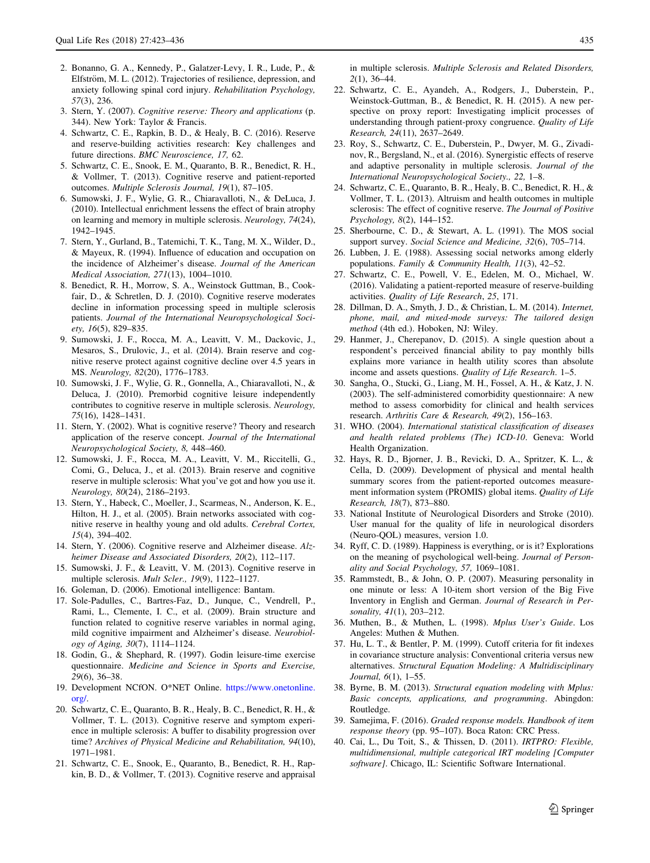- <span id="page-12-0"></span>2. Bonanno, G. A., Kennedy, P., Galatzer-Levy, I. R., Lude, P., & Elfström, M. L. (2012). Trajectories of resilience, depression, and anxiety following spinal cord injury. Rehabilitation Psychology, 57(3), 236.
- 3. Stern, Y. (2007). Cognitive reserve: Theory and applications (p. 344). New York: Taylor & Francis.
- 4. Schwartz, C. E., Rapkin, B. D., & Healy, B. C. (2016). Reserve and reserve-building activities research: Key challenges and future directions. BMC Neuroscience, 17, 62.
- 5. Schwartz, C. E., Snook, E. M., Quaranto, B. R., Benedict, R. H., & Vollmer, T. (2013). Cognitive reserve and patient-reported outcomes. Multiple Sclerosis Journal, 19(1), 87–105.
- 6. Sumowski, J. F., Wylie, G. R., Chiaravalloti, N., & DeLuca, J. (2010). Intellectual enrichment lessens the effect of brain atrophy on learning and memory in multiple sclerosis. Neurology, 74(24), 1942–1945.
- 7. Stern, Y., Gurland, B., Tatemichi, T. K., Tang, M. X., Wilder, D., & Mayeux, R. (1994). Influence of education and occupation on the incidence of Alzheimer's disease. Journal of the American Medical Association, 271(13), 1004–1010.
- 8. Benedict, R. H., Morrow, S. A., Weinstock Guttman, B., Cookfair, D., & Schretlen, D. J. (2010). Cognitive reserve moderates decline in information processing speed in multiple sclerosis patients. Journal of the International Neuropsychological Society, 16(5), 829–835.
- 9. Sumowski, J. F., Rocca, M. A., Leavitt, V. M., Dackovic, J., Mesaros, S., Drulovic, J., et al. (2014). Brain reserve and cognitive reserve protect against cognitive decline over 4.5 years in MS. Neurology, 82(20), 1776–1783.
- 10. Sumowski, J. F., Wylie, G. R., Gonnella, A., Chiaravalloti, N., & Deluca, J. (2010). Premorbid cognitive leisure independently contributes to cognitive reserve in multiple sclerosis. Neurology, 75(16), 1428–1431.
- 11. Stern, Y. (2002). What is cognitive reserve? Theory and research application of the reserve concept. Journal of the International Neuropsychological Society, 8, 448–460.
- 12. Sumowski, J. F., Rocca, M. A., Leavitt, V. M., Riccitelli, G., Comi, G., Deluca, J., et al. (2013). Brain reserve and cognitive reserve in multiple sclerosis: What you've got and how you use it. Neurology, 80(24), 2186–2193.
- 13. Stern, Y., Habeck, C., Moeller, J., Scarmeas, N., Anderson, K. E., Hilton, H. J., et al. (2005). Brain networks associated with cognitive reserve in healthy young and old adults. Cerebral Cortex, 15(4), 394–402.
- 14. Stern, Y. (2006). Cognitive reserve and Alzheimer disease. Alzheimer Disease and Associated Disorders, 20(2), 112-117.
- 15. Sumowski, J. F., & Leavitt, V. M. (2013). Cognitive reserve in multiple sclerosis. Mult Scler., 19(9), 1122–1127.
- 16. Goleman, D. (2006). Emotional intelligence: Bantam.
- 17. Sole-Padulles, C., Bartres-Faz, D., Junque, C., Vendrell, P., Rami, L., Clemente, I. C., et al. (2009). Brain structure and function related to cognitive reserve variables in normal aging, mild cognitive impairment and Alzheimer's disease. Neurobiology of Aging, 30(7), 1114–1124.
- 18. Godin, G., & Shephard, R. (1997). Godin leisure-time exercise questionnaire. Medicine and Science in Sports and Exercise, 29(6), 36–38.
- 19. Development NCfON. O\*NET Online. [https://www.onetonline.](https://www.onetonline.org/) [org/](https://www.onetonline.org/).
- 20. Schwartz, C. E., Quaranto, B. R., Healy, B. C., Benedict, R. H., & Vollmer, T. L. (2013). Cognitive reserve and symptom experience in multiple sclerosis: A buffer to disability progression over time? Archives of Physical Medicine and Rehabilitation, 94(10), 1971–1981.
- 21. Schwartz, C. E., Snook, E., Quaranto, B., Benedict, R. H., Rapkin, B. D., & Vollmer, T. (2013). Cognitive reserve and appraisal

in multiple sclerosis. Multiple Sclerosis and Related Disorders, 2(1), 36–44.

- 22. Schwartz, C. E., Ayandeh, A., Rodgers, J., Duberstein, P., Weinstock-Guttman, B., & Benedict, R. H. (2015). A new perspective on proxy report: Investigating implicit processes of understanding through patient-proxy congruence. Quality of Life Research, 24(11), 2637–2649.
- 23. Roy, S., Schwartz, C. E., Duberstein, P., Dwyer, M. G., Zivadinov, R., Bergsland, N., et al. (2016). Synergistic effects of reserve and adaptive personality in multiple sclerosis. Journal of the International Neuropsychological Society., 22, 1–8.
- 24. Schwartz, C. E., Quaranto, B. R., Healy, B. C., Benedict, R. H., & Vollmer, T. L. (2013). Altruism and health outcomes in multiple sclerosis: The effect of cognitive reserve. The Journal of Positive Psychology, 8(2), 144–152.
- 25. Sherbourne, C. D., & Stewart, A. L. (1991). The MOS social support survey. Social Science and Medicine, 32(6), 705–714.
- 26. Lubben, J. E. (1988). Assessing social networks among elderly populations. Family & Community Health, 11(3), 42–52.
- 27. Schwartz, C. E., Powell, V. E., Edelen, M. O., Michael, W. (2016). Validating a patient-reported measure of reserve-building activities. Quality of Life Research, 25, 171.
- 28. Dillman, D. A., Smyth, J. D., & Christian, L. M. (2014). Internet, phone, mail, and mixed-mode surveys: The tailored design method (4th ed.). Hoboken, NJ: Wiley.
- 29. Hanmer, J., Cherepanov, D. (2015). A single question about a respondent's perceived financial ability to pay monthly bills explains more variance in health utility scores than absolute income and assets questions. Quality of Life Research. 1–5.
- 30. Sangha, O., Stucki, G., Liang, M. H., Fossel, A. H., & Katz, J. N. (2003). The self-administered comorbidity questionnaire: A new method to assess comorbidity for clinical and health services research. Arthritis Care & Research, 49(2), 156–163.
- 31. WHO. (2004). International statistical classification of diseases and health related problems (The) ICD-10. Geneva: World Health Organization.
- 32. Hays, R. D., Bjorner, J. B., Revicki, D. A., Spritzer, K. L., & Cella, D. (2009). Development of physical and mental health summary scores from the patient-reported outcomes measurement information system (PROMIS) global items. Quality of Life Research, 18(7), 873–880.
- 33. National Institute of Neurological Disorders and Stroke (2010). User manual for the quality of life in neurological disorders (Neuro-QOL) measures, version 1.0.
- 34. Ryff, C. D. (1989). Happiness is everything, or is it? Explorations on the meaning of psychological well-being. Journal of Personality and Social Psychology, 57, 1069–1081.
- 35. Rammstedt, B., & John, O. P. (2007). Measuring personality in one minute or less: A 10-item short version of the Big Five Inventory in English and German. Journal of Research in Personality, 41(1), 203-212.
- 36. Muthen, B., & Muthen, L. (1998). Mplus User's Guide. Los Angeles: Muthen & Muthen.
- 37. Hu, L. T., & Bentler, P. M. (1999). Cutoff criteria for fit indexes in covariance structure analysis: Conventional criteria versus new alternatives. Structural Equation Modeling: A Multidisciplinary Journal, 6(1), 1–55.
- 38. Byrne, B. M. (2013). Structural equation modeling with Mplus: Basic concepts, applications, and programming. Abingdon: Routledge.
- 39. Samejima, F. (2016). Graded response models. Handbook of item response theory (pp. 95–107). Boca Raton: CRC Press.
- 40. Cai, L., Du Toit, S., & Thissen, D. (2011). IRTPRO: Flexible, multidimensional, multiple categorical IRT modeling [Computer software]. Chicago, IL: Scientific Software International.